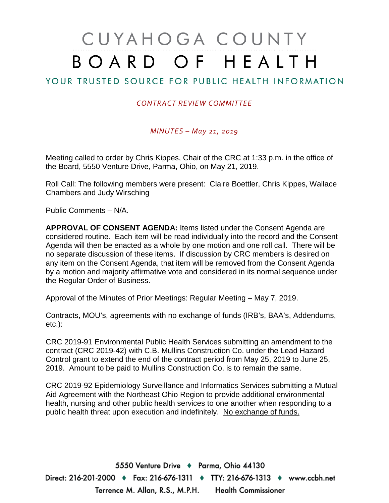# CUYAHOGA COUNTY BOARD OF HEALTH

## YOUR TRUSTED SOURCE FOR PUBLIC HEALTH INFORMATION

### *CONTRACT REVIEW COMMITTEE*

*MINUTES – May 21, 2019*

Meeting called to order by Chris Kippes, Chair of the CRC at 1:33 p.m. in the office of the Board, 5550 Venture Drive, Parma, Ohio, on May 21, 2019.

Roll Call: The following members were present: Claire Boettler, Chris Kippes, Wallace Chambers and Judy Wirsching

Public Comments – N/A.

**APPROVAL OF CONSENT AGENDA:** Items listed under the Consent Agenda are considered routine. Each item will be read individually into the record and the Consent Agenda will then be enacted as a whole by one motion and one roll call. There will be no separate discussion of these items. If discussion by CRC members is desired on any item on the Consent Agenda, that item will be removed from the Consent Agenda by a motion and majority affirmative vote and considered in its normal sequence under the Regular Order of Business.

Approval of the Minutes of Prior Meetings: Regular Meeting – May 7, 2019.

Contracts, MOU's, agreements with no exchange of funds (IRB's, BAA's, Addendums, etc.):

CRC 2019-91 Environmental Public Health Services submitting an amendment to the contract (CRC 2019-42) with C.B. Mullins Construction Co. under the Lead Hazard Control grant to extend the end of the contract period from May 25, 2019 to June 25, 2019. Amount to be paid to Mullins Construction Co. is to remain the same.

CRC 2019-92 Epidemiology Surveillance and Informatics Services submitting a Mutual Aid Agreement with the Northeast Ohio Region to provide additional environmental health, nursing and other public health services to one another when responding to a public health threat upon execution and indefinitely. No exchange of funds.

5550 Venture Drive + Parma, Ohio 44130 Direct: 216-201-2000 ♦ Fax: 216-676-1311 ♦ TTY: 216-676-1313 ♦ www.ccbh.net Terrence M. Allan, R.S., M.P.H. Health Commissioner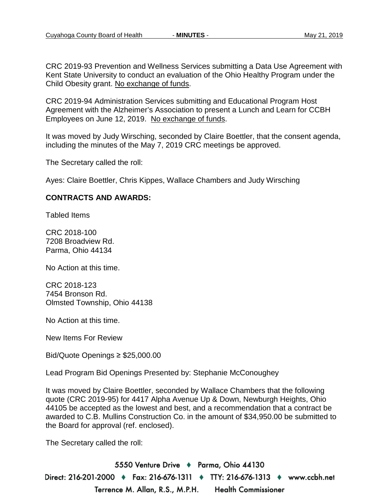CRC 2019-93 Prevention and Wellness Services submitting a Data Use Agreement with Kent State University to conduct an evaluation of the Ohio Healthy Program under the Child Obesity grant. No exchange of funds.

CRC 2019-94 Administration Services submitting and Educational Program Host Agreement with the Alzheimer's Association to present a Lunch and Learn for CCBH Employees on June 12, 2019. No exchange of funds.

It was moved by Judy Wirsching, seconded by Claire Boettler, that the consent agenda, including the minutes of the May 7, 2019 CRC meetings be approved.

The Secretary called the roll:

Ayes: Claire Boettler, Chris Kippes, Wallace Chambers and Judy Wirsching

#### **CONTRACTS AND AWARDS:**

Tabled Items

CRC 2018-100 7208 Broadview Rd. Parma, Ohio 44134

No Action at this time.

CRC 2018-123 7454 Bronson Rd. Olmsted Township, Ohio 44138

No Action at this time.

New Items For Review

Bid/Quote Openings ≥ \$25,000.00

Lead Program Bid Openings Presented by: Stephanie McConoughey

It was moved by Claire Boettler, seconded by Wallace Chambers that the following quote (CRC 2019-95) for 4417 Alpha Avenue Up & Down, Newburgh Heights, Ohio 44105 be accepted as the lowest and best, and a recommendation that a contract be awarded to C.B. Mullins Construction Co. in the amount of \$34,950.00 be submitted to the Board for approval (ref. enclosed).

The Secretary called the roll:

5550 Venture Drive + Parma, Ohio 44130 Direct: 216-201-2000 ♦ Fax: 216-676-1311 ♦ TTY: 216-676-1313 ♦ www.ccbh.net Terrence M. Allan, R.S., M.P.H. **Health Commissioner**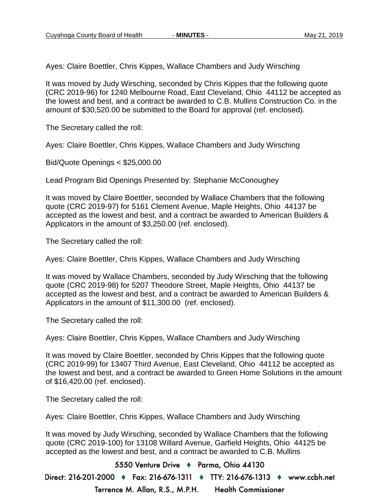Ayes: Claire Boettler, Chris Kippes, Wallace Chambers and Judy Wirsching

It was moved by Judy Wirsching, seconded by Chris Kippes that the following quote (CRC 2019-96) for 1240 Melbourne Road, East Cleveland, Ohio 44112 be accepted as the lowest and best, and a contract be awarded to C.B. Mullins Construction Co. in the amount of \$30,520.00 be submitted to the Board for approval (ref. enclosed).

The Secretary called the roll:

Ayes: Claire Boettler, Chris Kippes, Wallace Chambers and Judy Wirsching

Bid/Quote Openings < \$25,000.00

Lead Program Bid Openings Presented by: Stephanie McConoughey

It was moved by Claire Boettler, seconded by Wallace Chambers that the following quote (CRC 2019-97) for 5161 Clement Avenue, Maple Heights, Ohio 44137 be accepted as the lowest and best, and a contract be awarded to American Builders & Applicators in the amount of \$3,250.00 (ref. enclosed).

The Secretary called the roll:

Ayes: Claire Boettler, Chris Kippes, Wallace Chambers and Judy Wirsching

It was moved by Wallace Chambers, seconded by Judy Wirsching that the following quote (CRC 2019-98) for 5207 Theodore Street, Maple Heights, Ohio 44137 be accepted as the lowest and best, and a contract be awarded to American Builders & Applicators in the amount of \$11,300.00 (ref. enclosed).

The Secretary called the roll:

Ayes: Claire Boettler, Chris Kippes, Wallace Chambers and Judy Wirsching

It was moved by Claire Boettler, seconded by Chris Kippes that the following quote (CRC 2019-99) for 13407 Third Avenue, East Cleveland, Ohio 44112 be accepted as the lowest and best, and a contract be awarded to Green Home Solutions in the amount of \$16,420.00 (ref. enclosed).

The Secretary called the roll:

Ayes: Claire Boettler, Chris Kippes, Wallace Chambers and Judy Wirsching

It was moved by Judy Wirsching, seconded by Wallace Chambers that the following quote (CRC 2019-100) for 13108 Willard Avenue, Garfield Heights, Ohio 44125 be accepted as the lowest and best, and a contract be awarded to C.B. Mullins

5550 Venture Drive + Parma, Ohio 44130 Direct: 216-201-2000 ♦ Fax: 216-676-1311 ♦ TTY: 216-676-1313 ♦ www.ccbh.net

> Terrence M. Allan, R.S., M.P.H. **Health Commissioner**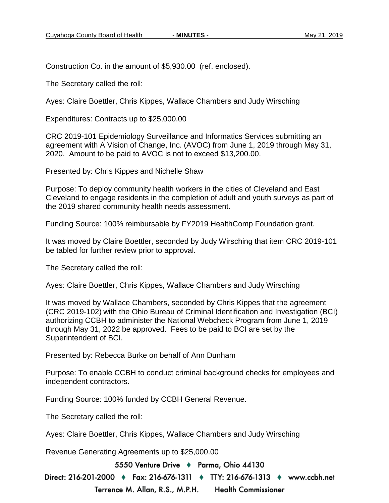Construction Co. in the amount of \$5,930.00 (ref. enclosed).

The Secretary called the roll:

Ayes: Claire Boettler, Chris Kippes, Wallace Chambers and Judy Wirsching

Expenditures: Contracts up to \$25,000.00

CRC 2019-101 Epidemiology Surveillance and Informatics Services submitting an agreement with A Vision of Change, Inc. (AVOC) from June 1, 2019 through May 31, 2020. Amount to be paid to AVOC is not to exceed \$13,200.00.

Presented by: Chris Kippes and Nichelle Shaw

Purpose: To deploy community health workers in the cities of Cleveland and East Cleveland to engage residents in the completion of adult and youth surveys as part of the 2019 shared community health needs assessment.

Funding Source: 100% reimbursable by FY2019 HealthComp Foundation grant.

It was moved by Claire Boettler, seconded by Judy Wirsching that item CRC 2019-101 be tabled for further review prior to approval.

The Secretary called the roll:

Ayes: Claire Boettler, Chris Kippes, Wallace Chambers and Judy Wirsching

It was moved by Wallace Chambers, seconded by Chris Kippes that the agreement (CRC 2019-102) with the Ohio Bureau of Criminal Identification and Investigation (BCI) authorizing CCBH to administer the National Webcheck Program from June 1, 2019 through May 31, 2022 be approved. Fees to be paid to BCI are set by the Superintendent of BCI.

Presented by: Rebecca Burke on behalf of Ann Dunham

Purpose: To enable CCBH to conduct criminal background checks for employees and independent contractors.

Funding Source: 100% funded by CCBH General Revenue.

The Secretary called the roll:

Ayes: Claire Boettler, Chris Kippes, Wallace Chambers and Judy Wirsching

Revenue Generating Agreements up to \$25,000.00

5550 Venture Drive + Parma, Ohio 44130

Direct: 216-201-2000 ♦ Fax: 216-676-1311 ♦ TTY: 216-676-1313 ♦ www.ccbh.net

Terrence M. Allan, R.S., M.P.H. **Health Commissioner**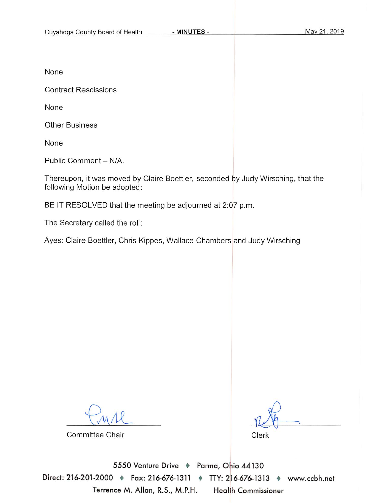None

**Contract Rescissions** 

None

**Other Business** 

None

Public Comment - N/A.

Thereupon, it was moved by Claire Boettler, seconded by Judy Wirsching, that the following Motion be adopted:

BE IT RESOLVED that the meeting be adjourned at 2:07 p.m.

The Secretary called the roll:

Ayes: Claire Boettler, Chris Kippes, Wallace Chambers and Judy Wirsching

Committee Chair

Clerk

5550 Venture Drive \* Parma, Ohio 44130 Direct: 216-201-2000 + Fax: 216-676-1311 + TTY: 216-676-1313 + www.ccbh.net Terrence M. Allan, R.S., M.P.H. **Health Commissioner**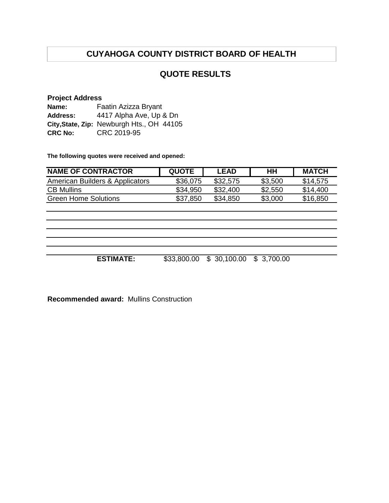## **QUOTE RESULTS**

#### **Project Address**

| Name:           | Faatin Azizza Bryant                      |
|-----------------|-------------------------------------------|
| <b>Address:</b> | 4417 Alpha Ave, Up & Dn                   |
|                 | City, State, Zip: Newburgh Hts., OH 44105 |
| <b>CRC No:</b>  | CRC 2019-95                               |

**The following quotes were received and opened:**

| <b>NAME OF CONTRACTOR</b>       | <b>QUOTE</b> | LEAD     | HΗ      | <b>MATCH</b> |
|---------------------------------|--------------|----------|---------|--------------|
| American Builders & Applicators | \$36,075     | \$32,575 | \$3,500 | \$14,575     |
| <b>CB Mullins</b>               | \$34,950     | \$32,400 | \$2,550 | \$14,400     |
| Green Home Solutions            | \$37,850     | \$34.850 | \$3,000 | \$16,850     |

**ESTIMATE:** \$33,800.00 \$ 30,100.00 \$ 3,700.00

**Recommended award:** Mullins Construction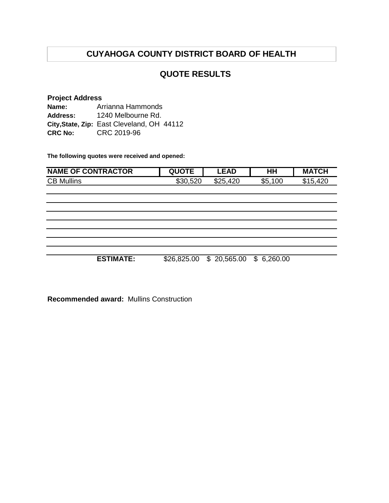## **QUOTE RESULTS**

#### **Project Address Name: Address: City,State, Zip:** East Cleveland, OH 44112 **CRC No:** CRC 2019-96 Arrianna Hammonds 1240 Melbourne Rd.

**The following quotes were received and opened:**

| <b>NAME OF CONTRACTOR</b> | <b>QUOTE</b> | <b>LEAD</b> | ΗH         | <b>MATCH</b> |
|---------------------------|--------------|-------------|------------|--------------|
| <b>CB Mullins</b>         | \$30,520     | \$25,420    | \$5,100    | \$15,420     |
|                           |              |             |            |              |
|                           |              |             |            |              |
|                           |              |             |            |              |
|                           |              |             |            |              |
|                           |              |             |            |              |
|                           |              |             |            |              |
|                           |              |             |            |              |
|                           |              |             |            |              |
| <b>ESTIMATE:</b>          | \$26,825.00  | \$20,565.00 | \$6,260.00 |              |

**Recommended award:** Mullins Construction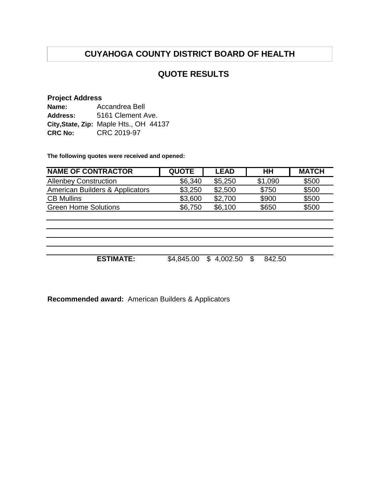## **QUOTE RESULTS**

#### **Project Address**

| Name:          | Accandrea Bell                         |  |  |  |
|----------------|----------------------------------------|--|--|--|
| Address:       | 5161 Clement Ave.                      |  |  |  |
|                | City, State, Zip: Maple Hts., OH 44137 |  |  |  |
| <b>CRC No:</b> | CRC 2019-97                            |  |  |  |

**The following quotes were received and opened:**

| <b>NAME OF CONTRACTOR</b>       | <b>QUOTE</b> | <b>LEAD</b> | HH          | <b>MATCH</b> |
|---------------------------------|--------------|-------------|-------------|--------------|
| <b>Allenbey Construction</b>    | \$6,340      | \$5,250     | \$1,090     | \$500        |
| American Builders & Applicators | \$3,250      | \$2,500     | \$750       | \$500        |
| <b>CB Mullins</b>               | \$3,600      | \$2,700     | \$900       | \$500        |
| <b>Green Home Solutions</b>     | \$6,750      | \$6,100     | \$650       | \$500        |
|                                 |              |             |             |              |
|                                 |              |             |             |              |
|                                 |              |             |             |              |
|                                 |              |             |             |              |
|                                 |              |             |             |              |
| <b>ESTIMATE:</b>                | \$4,845.00   | \$4,002.50  | 842.50<br>S |              |
|                                 |              |             |             |              |

**Recommended award:** American Builders & Applicators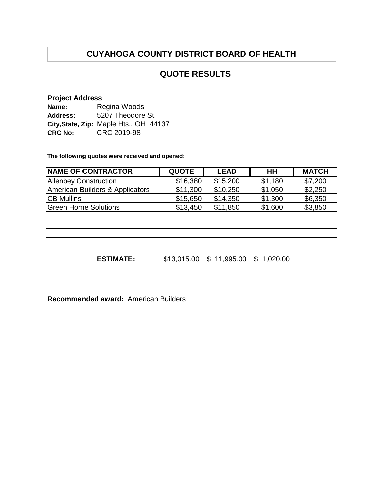## **QUOTE RESULTS**

#### **Project Address**

| Name:          | Regina Woods                           |
|----------------|----------------------------------------|
| Address:       | 5207 Theodore St.                      |
|                | City, State, Zip: Maple Hts., OH 44137 |
| <b>CRC No:</b> | CRC 2019-98                            |

**The following quotes were received and opened:**

| <b>NAME OF CONTRACTOR</b>       | <b>QUOTE</b> | <b>LEAD</b> | HН      | <b>MATCH</b> |
|---------------------------------|--------------|-------------|---------|--------------|
| <b>Allenbey Construction</b>    | \$16,380     | \$15,200    | \$1,180 | \$7,200      |
| American Builders & Applicators | \$11,300     | \$10,250    | \$1,050 | \$2,250      |
| <b>CB Mullins</b>               | \$15,650     | \$14.350    | \$1,300 | \$6,350      |
| <b>Green Home Solutions</b>     | \$13,450     | \$11,850    | \$1,600 | \$3,850      |

**ESTIMATE:** \$13,015.00 \$ 11,995.00 \$ 1,020.00

**Recommended award:** American Builders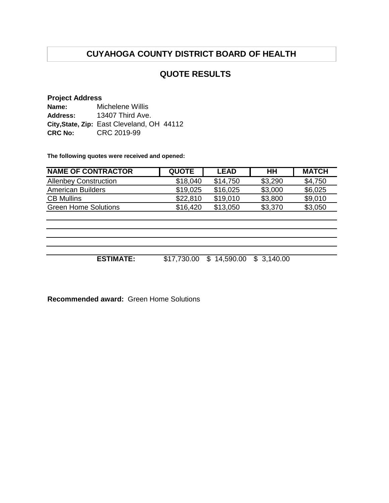## **QUOTE RESULTS**

#### **Project Address**

| Name:           | Michelene Willis                           |
|-----------------|--------------------------------------------|
| <b>Address:</b> | 13407 Third Ave.                           |
|                 | City, State, Zip: East Cleveland, OH 44112 |
| <b>CRC No:</b>  | CRC 2019-99                                |

**The following quotes were received and opened:**

| <b>NAME OF CONTRACTOR</b>    | <b>QUOTE</b> | <b>LEAD</b> | HН      | <b>MATCH</b> |
|------------------------------|--------------|-------------|---------|--------------|
| <b>Allenbey Construction</b> | \$18,040     | \$14.750    | \$3,290 | \$4,750      |
| American Builders            | \$19,025     | \$16,025    | \$3,000 | \$6,025      |
| <b>CB Mullins</b>            | \$22,810     | \$19.010    | \$3,800 | \$9,010      |
| <b>Green Home Solutions</b>  | \$16,420     | \$13,050    | \$3,370 | \$3,050      |

**ESTIMATE:** \$17,730.00 \$ 14,590.00 \$ 3,140.00

**Recommended award:** Green Home Solutions